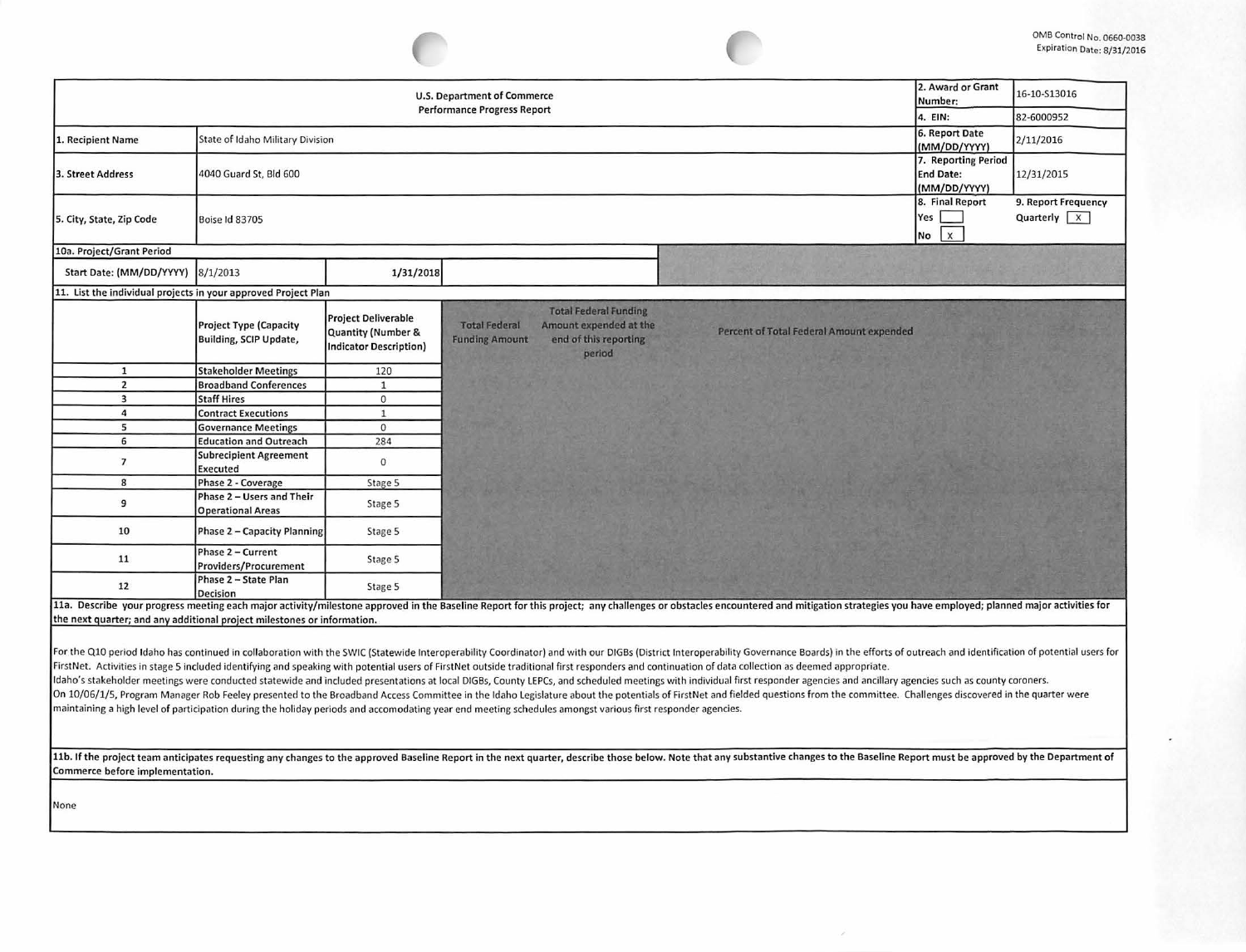| U.S. Department of Commerce<br><b>Performance Progress Report</b>       |                                                                            |                                                                                   |                                                                                                                                            |  |                                                                                                                                                                                                                                |                                                  | 16-10-S13016                                    |
|-------------------------------------------------------------------------|----------------------------------------------------------------------------|-----------------------------------------------------------------------------------|--------------------------------------------------------------------------------------------------------------------------------------------|--|--------------------------------------------------------------------------------------------------------------------------------------------------------------------------------------------------------------------------------|--------------------------------------------------|-------------------------------------------------|
|                                                                         | 4. EIN:                                                                    | 82-6000952                                                                        |                                                                                                                                            |  |                                                                                                                                                                                                                                |                                                  |                                                 |
| 1. Recipient Name                                                       | State of Idaho Military Division                                           |                                                                                   |                                                                                                                                            |  |                                                                                                                                                                                                                                | 6. Report Date<br>(MM/DD/YYYY)                   | 2/11/2016                                       |
| 3. Street Address                                                       | 4040 Guard St, Bld 600                                                     |                                                                                   |                                                                                                                                            |  |                                                                                                                                                                                                                                | 7. Reporting Period<br>End Date:<br>(MM/DD/YYYY) | 12/31/2015                                      |
| 5. City, State, Zip Code                                                | <b>Boise Id 83705</b>                                                      |                                                                                   |                                                                                                                                            |  |                                                                                                                                                                                                                                |                                                  | 9. Report Frequency<br>Quarterly $\overline{X}$ |
| 10a. Project/Grant Period                                               |                                                                            |                                                                                   |                                                                                                                                            |  |                                                                                                                                                                                                                                |                                                  |                                                 |
| Start Date: (MM/DD/YYYY) 8/1/2013                                       |                                                                            | 1/31/2018                                                                         |                                                                                                                                            |  |                                                                                                                                                                                                                                |                                                  |                                                 |
| 11. List the individual projects in your approved Project Plan          |                                                                            |                                                                                   |                                                                                                                                            |  |                                                                                                                                                                                                                                |                                                  |                                                 |
|                                                                         | <b>Project Type (Capacity</b><br>Building, SCIP Update,                    | <b>Project Deliverable</b><br>Quantity (Number &<br><b>Indicator Description)</b> | <b>Total Federal Funding</b><br>Amount expended at the<br><b>Total Federal</b><br>end of this reporting<br><b>Funding Amount</b><br>period |  | Percent of Total Federal Amount expended                                                                                                                                                                                       |                                                  |                                                 |
| 1                                                                       | <b>Stakeholder Meetings</b>                                                | 120                                                                               |                                                                                                                                            |  |                                                                                                                                                                                                                                |                                                  |                                                 |
| $\overline{2}$                                                          | <b>Broadband Conferences</b>                                               | $\mathbf{1}$                                                                      |                                                                                                                                            |  |                                                                                                                                                                                                                                |                                                  |                                                 |
| 3                                                                       | <b>Staff Hires</b>                                                         | $\mathbf{O}$                                                                      |                                                                                                                                            |  |                                                                                                                                                                                                                                |                                                  |                                                 |
| 4                                                                       | <b>Contract Executions</b>                                                 | $\mathbf{1}$                                                                      |                                                                                                                                            |  |                                                                                                                                                                                                                                |                                                  |                                                 |
| 5                                                                       | <b>Governance Meetings</b>                                                 | $\mathbf{0}$                                                                      |                                                                                                                                            |  |                                                                                                                                                                                                                                |                                                  |                                                 |
| 6<br>$\overline{7}$                                                     | <b>Education and Outreach</b><br><b>Subrecipient Agreement</b><br>Executed | 284<br>$\mathbf 0$                                                                |                                                                                                                                            |  |                                                                                                                                                                                                                                |                                                  |                                                 |
| 8                                                                       | Phase 2 - Coverage                                                         | Stage 5                                                                           |                                                                                                                                            |  |                                                                                                                                                                                                                                |                                                  |                                                 |
| 9                                                                       | Phase 2 - Users and Their<br><b>Operational Areas</b>                      | Stage 5                                                                           |                                                                                                                                            |  |                                                                                                                                                                                                                                |                                                  |                                                 |
| 10                                                                      | Phase 2 - Capacity Planning                                                | Stage 5                                                                           |                                                                                                                                            |  |                                                                                                                                                                                                                                |                                                  |                                                 |
| 11                                                                      | Phase 2 - Current<br>Providers/Procurement                                 | Stage 5                                                                           |                                                                                                                                            |  |                                                                                                                                                                                                                                |                                                  |                                                 |
| 12                                                                      | Phase 2 - State Plan<br>Decision                                           | Stage 5                                                                           |                                                                                                                                            |  |                                                                                                                                                                                                                                |                                                  |                                                 |
|                                                                         |                                                                            |                                                                                   |                                                                                                                                            |  | 11a. Describe your progress meeting each major activity/milestone approved in the Baseline Report for this project; any challenges or obstacles encountered and mitigation strategies you have employed; planned major activit |                                                  |                                                 |
| the next quarter; and any additional project milestones or information. |                                                                            |                                                                                   |                                                                                                                                            |  |                                                                                                                                                                                                                                |                                                  |                                                 |
|                                                                         |                                                                            |                                                                                   |                                                                                                                                            |  | For the Q10 period Idaho has continued in collaboration with the SWIC (Statewide Interoperability Coordinator) and with our DIGBs (District Interoperability Governance Boards) in the efforts of outreach and identification  |                                                  |                                                 |

First Net. Activities in stage 5 included identifying and speaking with potential users of FirstNet outside traditional first responders and continuation of data collection as deemed appropriate. Idaho's stakeholder meetings were conducted statewide and included presentations at local DIGBs, County LEPCs, and scheduled meetings with individual first responder agencies and ancillary agencies such as county coroners. On 10/06/1/5, Program Manager Rob Feeley presented to the Broadband Access Committee in the Idaho Legislature about the potentials of FirstNet and fielded questions from the committee. Challenges discovered in the quarter maintaining a high level of participation during the holiday periods and accomodating year end meeting schedules amongst various first responder agencies.

11b. If the project team anticipates requesting any changes to the approved Baseline Report in the next quarter, describe those below. Note that any substantive changes to the Baseline Report must be approved by the Depart Commerce before implementation.

None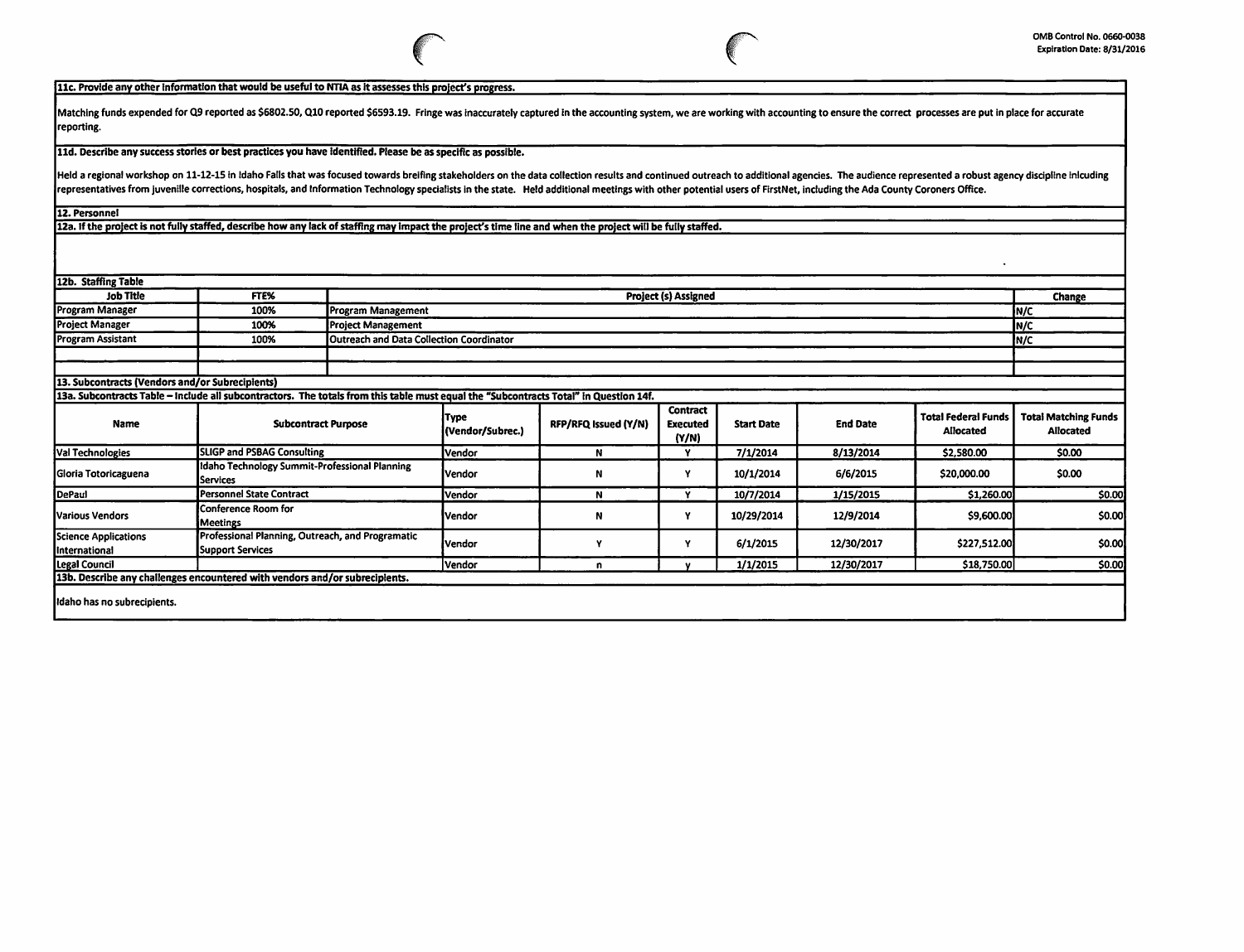$\ddot{\phantom{a}}$ 

## llc. Provide any other Information that would be useful to NTIA as it assesses this project's progress.

Matching funds expended for Q9 reported as \$6802.50, Q10 reported \$6593.19. Fringe was inaccurately captured in the accounting system, we are working with accounting to ensure the correct processes are put in place for acc reporting.

lld. Describe any success stories or best practices you have Identified. Please be as specific as possible.

Held a regional workshop on 11-12-15 in Idaho Falls that was focused towards breifing stakeholders on the data collection results and continued outreach to additional agencies. The audience represented a robust agency disc representatives from juvenille corrections, hospitals, and Information Technology specialists in the state. Held additional meetings with other potential users of FirstNet, including the Ada County Coroners Office.

12. Personnel

12a. If the project Is not fully staffed, describe how any lack of staffing may Impact the project's time line and when the project will be fully staffed.

12b. Staffing Table

| <b>Job Title</b>                                                                                                                      | FTE%                                                                        |                           | <b>Change</b>                                           |                      |                                             |                   |                 |                                                |                                                 |  |
|---------------------------------------------------------------------------------------------------------------------------------------|-----------------------------------------------------------------------------|---------------------------|---------------------------------------------------------|----------------------|---------------------------------------------|-------------------|-----------------|------------------------------------------------|-------------------------------------------------|--|
| Program Manager                                                                                                                       | 100%                                                                        | Program Management        | IN/C                                                    |                      |                                             |                   |                 |                                                |                                                 |  |
| <b>Project Manager</b>                                                                                                                | 100%                                                                        | <b>Project Management</b> | In/c                                                    |                      |                                             |                   |                 |                                                |                                                 |  |
| <b>Program Assistant</b>                                                                                                              | 100%                                                                        |                           | <b>Outreach and Data Collection Coordinator</b><br>In/c |                      |                                             |                   |                 |                                                |                                                 |  |
|                                                                                                                                       |                                                                             |                           |                                                         |                      |                                             |                   |                 |                                                |                                                 |  |
|                                                                                                                                       |                                                                             |                           |                                                         |                      |                                             |                   |                 |                                                |                                                 |  |
| 13. Subcontracts (Vendors and/or Subrecipients)                                                                                       |                                                                             |                           |                                                         |                      |                                             |                   |                 |                                                |                                                 |  |
| 13a. Subcontracts Table - Include all subcontractors. The totals from this table must equal the "Subcontracts Total" in Question 14f. |                                                                             |                           |                                                         |                      |                                             |                   |                 |                                                |                                                 |  |
| Name                                                                                                                                  | <b>Subcontract Purpose</b>                                                  |                           | Type<br>(Vendor/Subrec.)                                | RFP/RFQ Issued (Y/N) | <b>Contract</b><br><b>Executed</b><br>(Y/N) | <b>Start Date</b> | <b>End Date</b> | <b>Total Federal Funds</b><br><b>Allocated</b> | <b>Total Matching Funds</b><br><b>Allocated</b> |  |
| Val Technologies                                                                                                                      | <b>SLIGP and PSBAG Consulting</b>                                           |                           | Vendor                                                  | N                    | v                                           | 7/1/2014          | 8/13/2014       | \$2,580.00                                     | \$0.00                                          |  |
| Gloria Totoricaguena                                                                                                                  | Idaho Technology Summit-Professional Planning<br>Services                   |                           | <b>Vendor</b>                                           | N                    |                                             | 10/1/2014         | 6/6/2015        | \$20,000.00                                    | \$0.00                                          |  |
| DePaul                                                                                                                                | <b>Personnel State Contract</b>                                             |                           | <b>Vendor</b>                                           | N                    | ٧                                           | 10/7/2014         | 1/15/2015       | \$1,260.00                                     | \$0.00                                          |  |
| Various Vendors                                                                                                                       | Conference Room for<br>Meetings                                             |                           | Vendor                                                  | N                    |                                             | 10/29/2014        | 12/9/2014       | \$9,600.00                                     | \$0.00                                          |  |
| Science Applications<br><b>International</b>                                                                                          | Professional Planning, Outreach, and Programatic<br><b>Support Services</b> |                           | lVendor                                                 |                      |                                             | 6/1/2015          | 12/30/2017      | \$227,512.00                                   | \$0.00                                          |  |
| Legal Council                                                                                                                         |                                                                             |                           | Vendor                                                  | n                    |                                             | 1/1/2015          | 12/30/2017      | \$18,750.00                                    | \$0.00                                          |  |
| 13b. Describe any challenges encountered with vendors and/or subrecipients.                                                           |                                                                             |                           |                                                         |                      |                                             |                   |                 |                                                |                                                 |  |
| Idaho has no subrecipients.                                                                                                           |                                                                             |                           |                                                         |                      |                                             |                   |                 |                                                |                                                 |  |